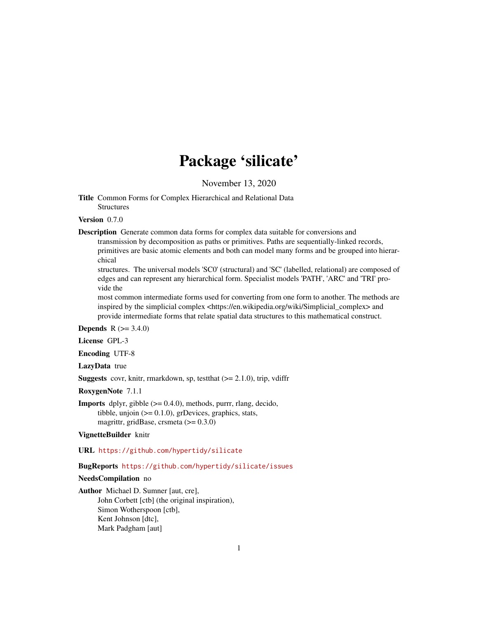# Package 'silicate'

November 13, 2020

<span id="page-0-0"></span>Title Common Forms for Complex Hierarchical and Relational Data **Structures** 

#### Version 0.7.0

Description Generate common data forms for complex data suitable for conversions and

transmission by decomposition as paths or primitives. Paths are sequentially-linked records, primitives are basic atomic elements and both can model many forms and be grouped into hierarchical

structures. The universal models 'SC0' (structural) and 'SC' (labelled, relational) are composed of edges and can represent any hierarchical form. Specialist models 'PATH', 'ARC' and 'TRI' provide the

most common intermediate forms used for converting from one form to another. The methods are inspired by the simplicial complex <https://en.wikipedia.org/wiki/Simplicial\_complex> and provide intermediate forms that relate spatial data structures to this mathematical construct.

#### **Depends** R  $(>= 3.4.0)$

License GPL-3

Encoding UTF-8

LazyData true

**Suggests** covr, knitr, rmarkdown, sp, test that  $(>= 2.1.0)$ , trip, vdiffr

RoxygenNote 7.1.1

**Imports** dplyr, gibble  $(>= 0.4.0)$ , methods, purrr, rlang, decido, tibble, unjoin  $(>= 0.1.0)$ , grDevices, graphics, stats, magrittr, gridBase, crsmeta (>= 0.3.0)

#### VignetteBuilder knitr

URL <https://github.com/hypertidy/silicate>

#### BugReports <https://github.com/hypertidy/silicate/issues>

#### NeedsCompilation no

Author Michael D. Sumner [aut, cre], John Corbett [ctb] (the original inspiration), Simon Wotherspoon [ctb], Kent Johnson [dtc], Mark Padgham [aut]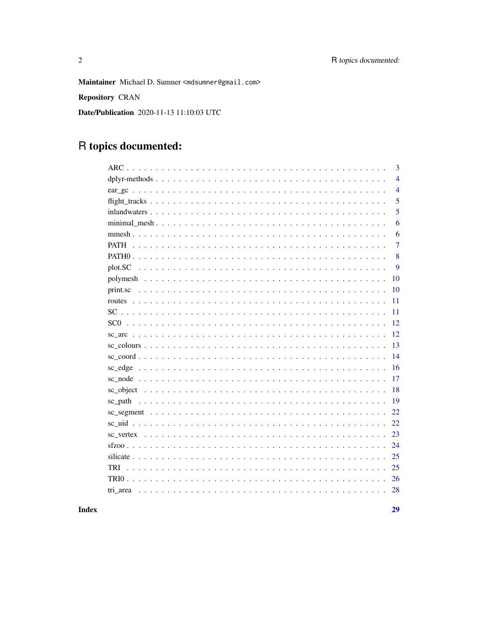Maintainer Michael D. Sumner <mdsumner@gmail.com>

Repository CRAN

Date/Publication 2020-11-13 11:10:03 UTC

## R topics documented:

|             | $\overline{3}$ |
|-------------|----------------|
|             | $\overline{4}$ |
|             | $\overline{4}$ |
|             | 5              |
|             | 5              |
|             | 6              |
|             | 6              |
| <b>PATH</b> | $\overline{7}$ |
|             | 8              |
| plot.SC     | 9              |
|             | 10             |
|             | 10             |
|             | 11             |
|             | 11             |
|             | 12             |
|             | 12             |
|             | 13             |
|             | 14             |
|             | 16             |
|             | 17             |
|             | 18             |
|             | 19             |
|             | 22             |
|             | 22             |
|             | 23             |
|             | 24             |
|             | 25             |
| TRI         | 25             |
|             | 26             |
| tri area    | 28             |
|             |                |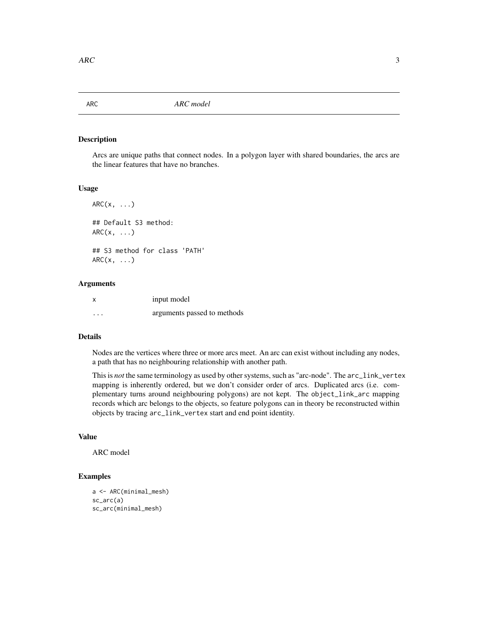<span id="page-2-1"></span><span id="page-2-0"></span>

Arcs are unique paths that connect nodes. In a polygon layer with shared boundaries, the arcs are the linear features that have no branches.

#### Usage

 $ARC(x, \ldots)$ ## Default S3 method:  $ARC(x, ...)$ ## S3 method for class 'PATH'  $ARC(x, \ldots)$ 

#### Arguments

|   | input model                 |
|---|-----------------------------|
| . | arguments passed to methods |

#### Details

Nodes are the vertices where three or more arcs meet. An arc can exist without including any nodes, a path that has no neighbouring relationship with another path.

This is *not* the same terminology as used by other systems, such as "arc-node". The arc\_link\_vertex mapping is inherently ordered, but we don't consider order of arcs. Duplicated arcs (i.e. complementary turns around neighbouring polygons) are not kept. The object\_link\_arc mapping records which arc belongs to the objects, so feature polygons can in theory be reconstructed within objects by tracing arc\_link\_vertex start and end point identity.

#### Value

ARC model

```
a <- ARC(minimal_mesh)
sc_arc(a)
sc_arc(minimal_mesh)
```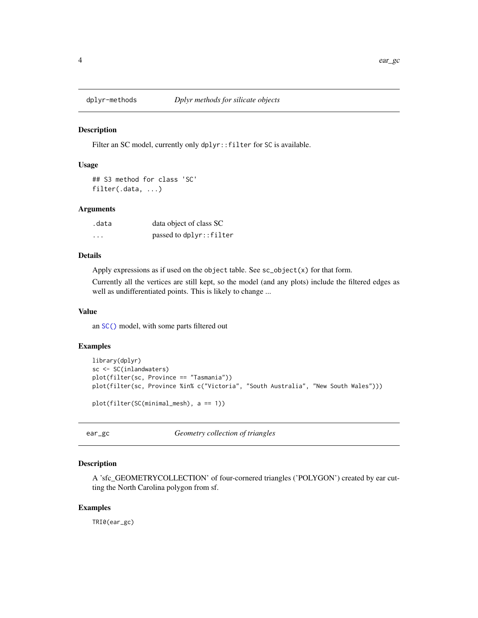<span id="page-3-0"></span>

Filter an SC model, currently only dplyr:: filter for SC is available.

#### Usage

## S3 method for class 'SC' filter(.data, ...)

#### Arguments

| .data | data object of class SC |
|-------|-------------------------|
| .     | passed to dplyr::filter |

#### Details

Apply expressions as if used on the object table. See sc\_object(x) for that form.

Currently all the vertices are still kept, so the model (and any plots) include the filtered edges as well as undifferentiated points. This is likely to change ...

#### Value

an [SC\(\)](#page-10-1) model, with some parts filtered out

#### Examples

```
library(dplyr)
sc <- SC(inlandwaters)
plot(filter(sc, Province == "Tasmania"))
plot(filter(sc, Province %in% c("Victoria", "South Australia", "New South Wales")))
plot(filter(SC(minimal_mesh), a == 1))
```
ear\_gc *Geometry collection of triangles*

#### Description

A 'sfc\_GEOMETRYCOLLECTION' of four-cornered triangles ('POLYGON') created by ear cutting the North Carolina polygon from sf.

#### Examples

TRI0(ear\_gc)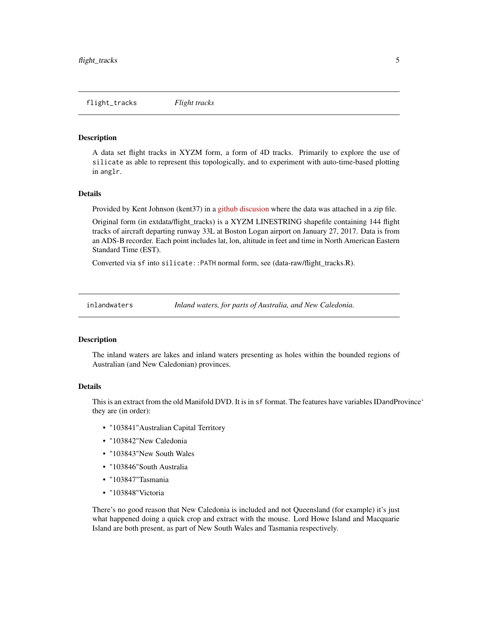<span id="page-4-0"></span>A data set flight tracks in XYZM form, a form of 4D tracks. Primarily to explore the use of silicate as able to represent this topologically, and to experiment with auto-time-based plotting in anglr.

#### Details

Provided by Kent Johnson (kent37) in a [github discusion](https://github.com/r-spatial/mapview/issues/99#issuecomment-328711275) where the data was attached in a zip file.

Original form (in extdata/flight\_tracks) is a XYZM LINESTRING shapefile containing 144 flight tracks of aircraft departing runway 33L at Boston Logan airport on January 27, 2017. Data is from an ADS-B recorder. Each point includes lat, lon, altitude in feet and time in North American Eastern Standard Time (EST).

Converted via sf into silicate::PATH normal form, see (data-raw/flight\_tracks.R).

inlandwaters *Inland waters, for parts of Australia, and New Caledonia.*

#### **Description**

The inland waters are lakes and inland waters presenting as holes within the bounded regions of Australian (and New Caledonian) provinces.

#### Details

This is an extract from the old Manifold DVD. It is in sf format. The features have variables IDandProvince' they are (in order):

- "103841"Australian Capital Territory
- "103842"New Caledonia
- "103843"New South Wales
- "103846"South Australia
- "103847"Tasmania
- "103848"Victoria

There's no good reason that New Caledonia is included and not Queensland (for example) it's just what happened doing a quick crop and extract with the mouse. Lord Howe Island and Macquarie Island are both present, as part of New South Wales and Tasmania respectively.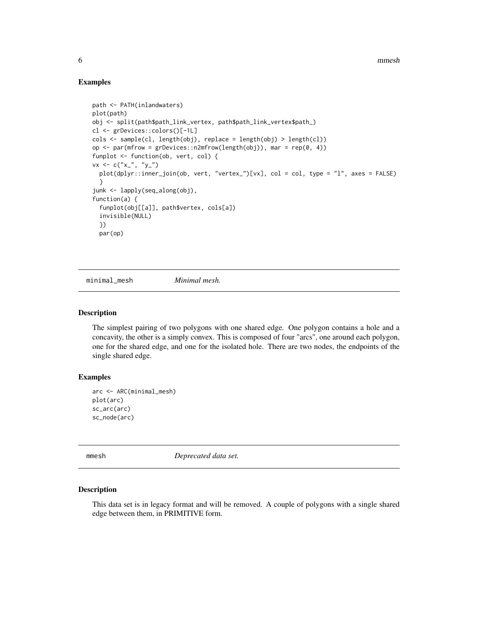#### Examples

```
path <- PATH(inlandwaters)
plot(path)
obj <- split(path$path_link_vertex, path$path_link_vertex$path_)
cl <- grDevices::colors()[-1L]
\text{cols} \leq \text{sample}(c1, \text{length}(obj), \text{replace} = \text{length}(obj) > \text{length}(c1))op \leq par(mfrow = grDevices::n2mfrow(length(obj)), mar = rep(0, 4))
funplot <- function(ob, vert, col) {
vx < -c("x_{-}'', 'y_{-}'')plot(dplyr::inner_join(ob, vert, "vertex_")[vx], col = col, type = "l", axes = FALSE)
  }
junk <- lapply(seq_along(obj),
function(a) {
  funplot(obj[[a]], path$vertex, cols[a])
  invisible(NULL)
  })
  par(op)
```
minimal\_mesh *Minimal mesh.*

#### Description

The simplest pairing of two polygons with one shared edge. One polygon contains a hole and a concavity, the other is a simply convex. This is composed of four "arcs", one around each polygon, one for the shared edge, and one for the isolated hole. There are two nodes, the endpoints of the single shared edge.

#### Examples

```
arc <- ARC(minimal_mesh)
plot(arc)
sc_arc(arc)
sc_node(arc)
```
mmesh *Deprecated data set.* 

#### Description

This data set is in legacy format and will be removed. A couple of polygons with a single shared edge between them, in PRIMITIVE form.

<span id="page-5-0"></span>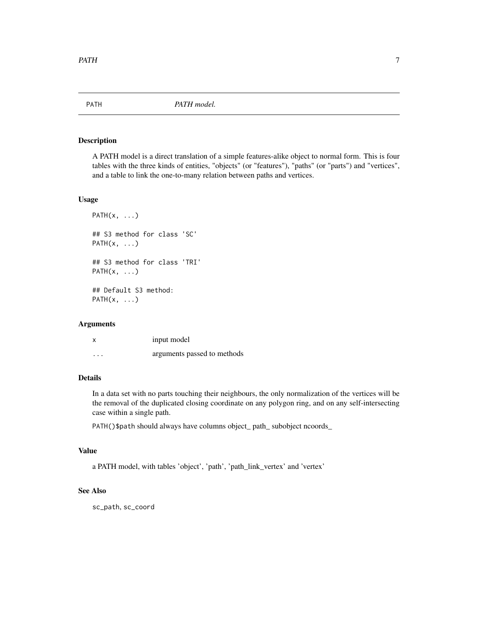<span id="page-6-1"></span><span id="page-6-0"></span>

A PATH model is a direct translation of a simple features-alike object to normal form. This is four tables with the three kinds of entities, "objects" (or "features"), "paths" (or "parts") and "vertices", and a table to link the one-to-many relation between paths and vertices.

#### Usage

```
PATH(x, \ldots)## S3 method for class 'SC'
PATH(x, \ldots)## S3 method for class 'TRI'
PATH(x, \ldots)## Default S3 method:
PATH(x, \ldots)
```
#### Arguments

| X        | input model                 |
|----------|-----------------------------|
| $\cdots$ | arguments passed to methods |

### Details

In a data set with no parts touching their neighbours, the only normalization of the vertices will be the removal of the duplicated closing coordinate on any polygon ring, and on any self-intersecting case within a single path.

PATH()\$path should always have columns object\_ path\_ subobject ncoords\_

### Value

a PATH model, with tables 'object', 'path', 'path\_link\_vertex' and 'vertex'

#### See Also

sc\_path, sc\_coord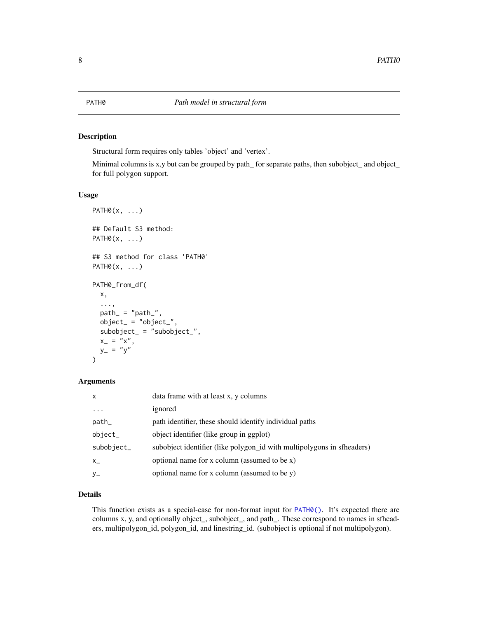<span id="page-7-1"></span><span id="page-7-0"></span>Structural form requires only tables 'object' and 'vertex'.

Minimal columns is x,y but can be grouped by path\_ for separate paths, then subobject\_ and object\_ for full polygon support.

#### Usage

```
PATH0(x, \ldots)## Default S3 method:
PATH0(x, \ldots)## S3 method for class 'PATH0'
PATH0(x, ...)PATH0_from_df(
  x,
  ...,
  path_ = "path_",object_ = "object_",subobject_ = "subobject_",x_{-} = "x",y_{-} = "y")
```
#### Arguments

| $\mathsf{x}$ | data frame with at least x, y columns                                  |
|--------------|------------------------------------------------------------------------|
| $\cdot$      | ignored                                                                |
| path_        | path identifier, these should identify individual paths                |
| object_      | object identifier (like group in ggplot)                               |
| subobject_   | subobject identifier (like polygon_id with multipolygons in sfheaders) |
| $X_{-}$      | optional name for x column (assumed to be x)                           |
| $y_{-}$      | optional name for x column (assumed to be y)                           |

#### Details

This function exists as a special-case for non-format input for [PATH0\(\)](#page-7-1). It's expected there are columns x, y, and optionally object\_, subobject\_, and path\_. These correspond to names in sfheaders, multipolygon\_id, polygon\_id, and linestring\_id. (subobject is optional if not multipolygon).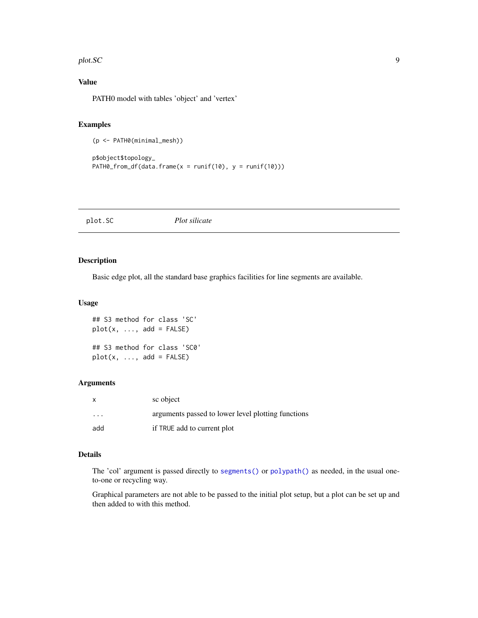#### <span id="page-8-0"></span>plot.SC 9

### Value

PATH0 model with tables 'object' and 'vertex'

#### Examples

(p <- PATH0(minimal\_mesh))

```
p$object$topology_
PATH0_from_df(data.frame(x = runif(10), y = runif(10)))
```
plot.SC *Plot silicate*

#### Description

Basic edge plot, all the standard base graphics facilities for line segments are available.

#### Usage

```
## S3 method for class 'SC'
plot(x, ..., add = FALSE)## S3 method for class 'SC0'
plot(x, ..., add = FALSE)
```
#### Arguments

| $\mathsf{x}$ | sc object                                          |
|--------------|----------------------------------------------------|
| $\cdots$     | arguments passed to lower level plotting functions |
| add          | if TRUE add to current plot                        |

#### Details

The 'col' argument is passed directly to [segments\(\)](#page-0-0) or [polypath\(\)](#page-0-0) as needed, in the usual oneto-one or recycling way.

Graphical parameters are not able to be passed to the initial plot setup, but a plot can be set up and then added to with this method.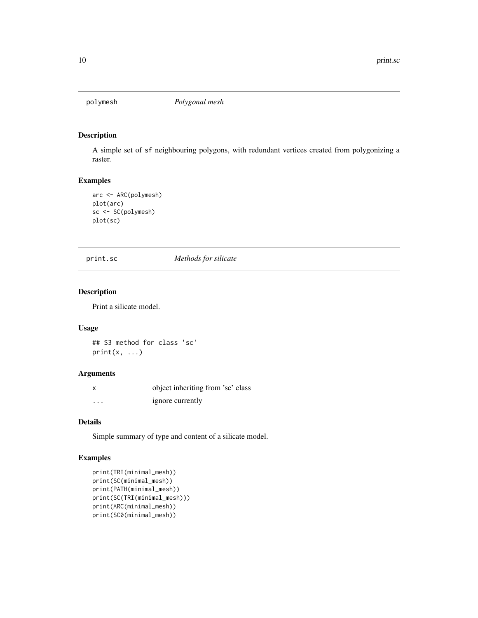<span id="page-9-0"></span>

A simple set of sf neighbouring polygons, with redundant vertices created from polygonizing a raster.

#### Examples

```
arc <- ARC(polymesh)
plot(arc)
sc <- SC(polymesh)
plot(sc)
```
print.sc *Methods for silicate*

#### Description

Print a silicate model.

#### Usage

## S3 method for class 'sc'  $print(x, \ldots)$ 

#### Arguments

|          | object inheriting from 'sc' class |
|----------|-----------------------------------|
| $\cdots$ | ignore currently                  |

#### Details

Simple summary of type and content of a silicate model.

```
print(TRI(minimal_mesh))
print(SC(minimal_mesh))
print(PATH(minimal_mesh))
print(SC(TRI(minimal_mesh)))
print(ARC(minimal_mesh))
print(SC0(minimal_mesh))
```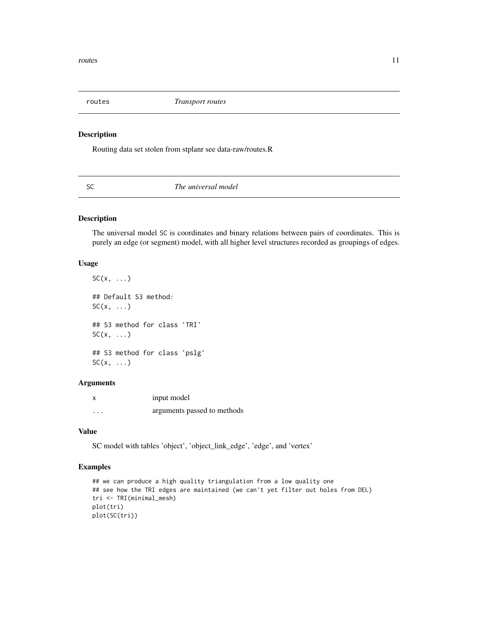<span id="page-10-0"></span>

Routing data set stolen from stplanr see data-raw/routes.R

<span id="page-10-1"></span>SC *The universal model*

#### Description

The universal model SC is coordinates and binary relations between pairs of coordinates. This is purely an edge (or segment) model, with all higher level structures recorded as groupings of edges.

#### Usage

 $SC(x, \ldots)$ ## Default S3 method:  $SC(x, \ldots)$ ## S3 method for class 'TRI'  $SC(x, \ldots)$ ## S3 method for class 'pslg'  $SC(x, \ldots)$ 

#### Arguments

x input model ... arguments passed to methods

#### Value

SC model with tables 'object', 'object\_link\_edge', 'edge', and 'vertex'

```
## we can produce a high quality triangulation from a low quality one
## see how the TRI edges are maintained (we can't yet filter out holes from DEL)
tri <- TRI(minimal_mesh)
plot(tri)
plot(SC(tri))
```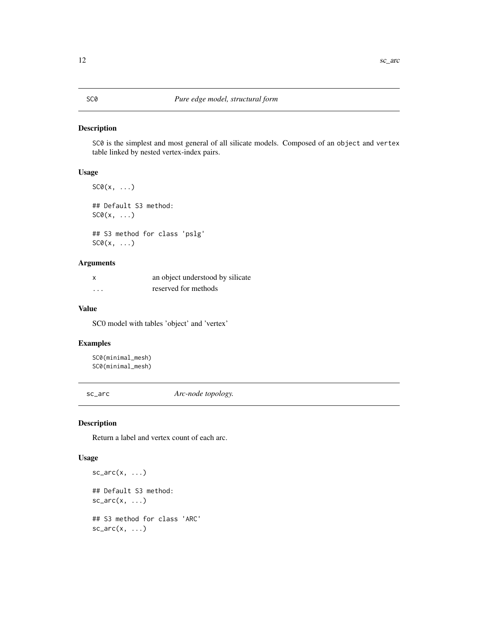<span id="page-11-1"></span><span id="page-11-0"></span>SC0 is the simplest and most general of all silicate models. Composed of an object and vertex table linked by nested vertex-index pairs.

#### Usage

```
SCØ(x, \ldots)## Default S3 method:
SCØ(x, \ldots)## S3 method for class 'pslg'
SCØ(x, \ldots)
```
#### Arguments

| X        | an object understood by silicate |
|----------|----------------------------------|
| $\cdots$ | reserved for methods             |

#### Value

SC0 model with tables 'object' and 'vertex'

#### Examples

```
SC0(minimal_mesh)
SC0(minimal_mesh)
```
sc\_arc *Arc-node topology.*

#### Description

Return a label and vertex count of each arc.

#### Usage

```
sc_arc(x, \ldots)## Default S3 method:
sc_arc(x, \ldots)## S3 method for class 'ARC'
sc_arc(x, \ldots)
```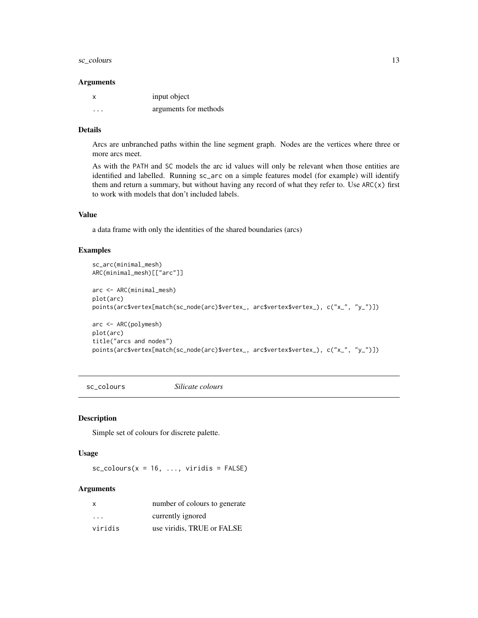#### <span id="page-12-0"></span>sc\_colours 13

#### **Arguments**

|          | input object          |
|----------|-----------------------|
| $\cdots$ | arguments for methods |

#### Details

Arcs are unbranched paths within the line segment graph. Nodes are the vertices where three or more arcs meet.

As with the PATH and SC models the arc id values will only be relevant when those entities are identified and labelled. Running sc\_arc on a simple features model (for example) will identify them and return a summary, but without having any record of what they refer to. Use ARC(x) first to work with models that don't included labels.

#### Value

a data frame with only the identities of the shared boundaries (arcs)

#### Examples

```
sc_arc(minimal_mesh)
ARC(minimal_mesh)[["arc"]]
arc <- ARC(minimal_mesh)
plot(arc)
points(arc$vertex[match(sc_node(arc)$vertex_, arc$vertex$vertex_), c("x_", "y_")])
arc <- ARC(polymesh)
plot(arc)
title("arcs and nodes")
points(arc$vertex[match(sc_node(arc)$vertex_, arc$vertex$vertex_), c("x_", "y_")])
```
sc\_colours *Silicate colours*

#### Description

Simple set of colours for discrete palette.

#### Usage

 $sc\_colours(x = 16, ..., viridis = FALSE)$ 

#### Arguments

| X                       | number of colours to generate |
|-------------------------|-------------------------------|
| $\cdot$ $\cdot$ $\cdot$ | currently ignored             |
| viridis                 | use viridis, TRUE or FALSE    |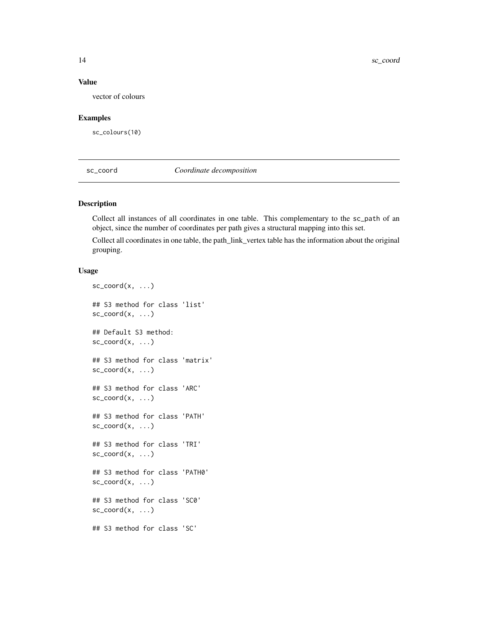#### <span id="page-13-0"></span>Value

vector of colours

#### Examples

sc\_colours(10)

sc\_coord *Coordinate decomposition*

#### Description

Collect all instances of all coordinates in one table. This complementary to the sc\_path of an object, since the number of coordinates per path gives a structural mapping into this set.

Collect all coordinates in one table, the path\_link\_vertex table has the information about the original grouping.

#### Usage

```
sc\_coord(x, \ldots)## S3 method for class 'list'
sc\_coord(x, \ldots)## Default S3 method:
sc\_coord(x, \ldots)## S3 method for class 'matrix'
sc\_coord(x, \ldots)## S3 method for class 'ARC'
sc\_coord(x, \ldots)## S3 method for class 'PATH'
sc\_coord(x, \ldots)## S3 method for class 'TRI'
sc\_coord(x, \ldots)## S3 method for class 'PATH0'
sc\_coord(x, \ldots)## S3 method for class 'SC0'
sc\_coord(x, \ldots)## S3 method for class 'SC'
```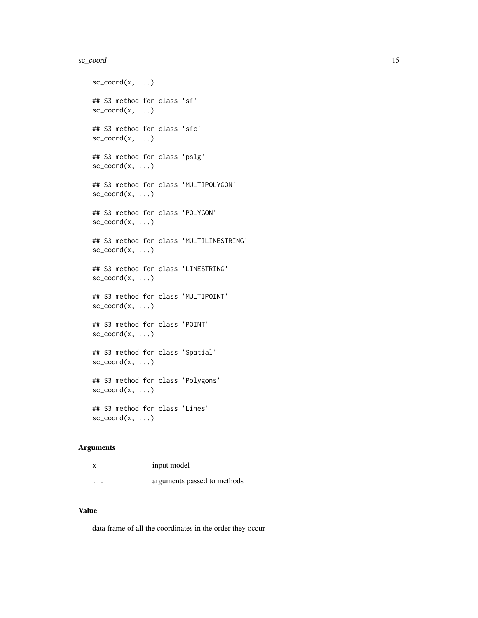#### sc\_coord 15

```
sc\_coord(x, \ldots)## S3 method for class 'sf'
sc\_coord(x, \ldots)## S3 method for class 'sfc'
sc\_coord(x, \ldots)## S3 method for class 'pslg'
sc\_coord(x, \ldots)## S3 method for class 'MULTIPOLYGON'
sc\_coord(x, \ldots)## S3 method for class 'POLYGON'
sc\_coord(x, \ldots)## S3 method for class 'MULTILINESTRING'
sc\_coord(x, \ldots)## S3 method for class 'LINESTRING'
sc\_coord(x, \ldots)## S3 method for class 'MULTIPOINT'
sc\_coord(x, \ldots)## S3 method for class 'POINT'
sc\_coord(x, \ldots)## S3 method for class 'Spatial'
sc\_coord(x, \ldots)## S3 method for class 'Polygons'
sc\_coord(x, \ldots)## S3 method for class 'Lines'
sc\_coord(x, \ldots)
```
#### Arguments

|                         | input model                 |
|-------------------------|-----------------------------|
| $\cdot$ $\cdot$ $\cdot$ | arguments passed to methods |

#### Value

data frame of all the coordinates in the order they occur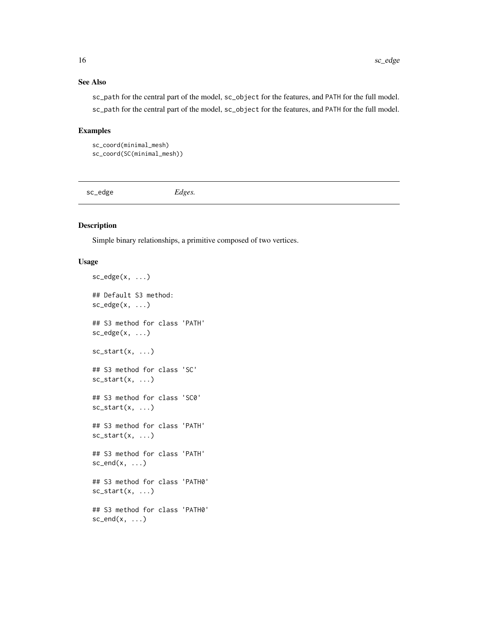#### <span id="page-15-0"></span>See Also

sc\_path for the central part of the model, sc\_object for the features, and PATH for the full model. sc\_path for the central part of the model, sc\_object for the features, and PATH for the full model.

#### Examples

```
sc_coord(minimal_mesh)
sc_coord(SC(minimal_mesh))
```
sc\_edge *Edges.*

#### Description

Simple binary relationships, a primitive composed of two vertices.

#### Usage

```
sc\_edge(x, \ldots)## Default S3 method:
sc\_edge(x, \ldots)## S3 method for class 'PATH'
sc\_edge(x, \ldots)sc\_start(x, \ldots)## S3 method for class 'SC'
sc\_start(x, \ldots)## S3 method for class 'SC0'
sc\_start(x, \ldots)## S3 method for class 'PATH'
sc\_start(x, \ldots)## S3 method for class 'PATH'
sc\_end(x, \ldots)## S3 method for class 'PATH0'
sc\_start(x, \ldots)## S3 method for class 'PATH0'
sc\_end(x, \ldots)
```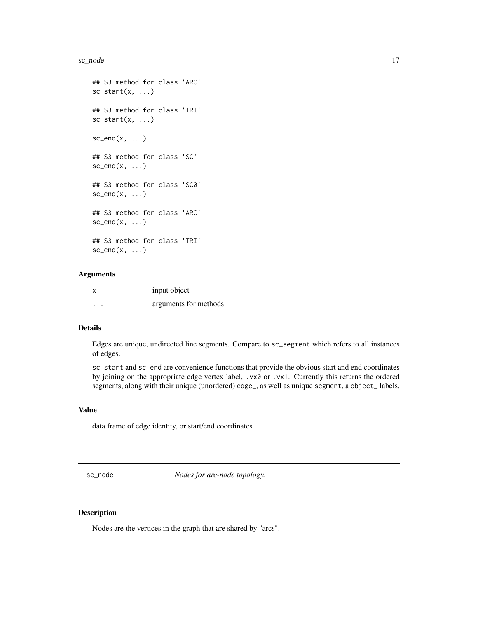#### <span id="page-16-0"></span>sc\_node 17

```
## S3 method for class 'ARC'
sc\_start(x, \ldots)## S3 method for class 'TRI'
sc\_start(x, \ldots)sc\_end(x, \ldots)## S3 method for class 'SC'
sc\_end(x, \ldots)## S3 method for class 'SC0'
sc\_end(x, \ldots)## S3 method for class 'ARC'
sc\_end(x, \ldots)## S3 method for class 'TRI'
sc\_end(x, \ldots)
```
#### Arguments

|          | input object          |
|----------|-----------------------|
| $\cdots$ | arguments for methods |

#### Details

Edges are unique, undirected line segments. Compare to sc\_segment which refers to all instances of edges.

sc\_start and sc\_end are convenience functions that provide the obvious start and end coordinates by joining on the appropriate edge vertex label, .vx0 or .vx1. Currently this returns the ordered segments, along with their unique (unordered) edge\_, as well as unique segment, a object\_ labels.

#### Value

data frame of edge identity, or start/end coordinates

sc\_node *Nodes for arc-node topology.*

#### Description

Nodes are the vertices in the graph that are shared by "arcs".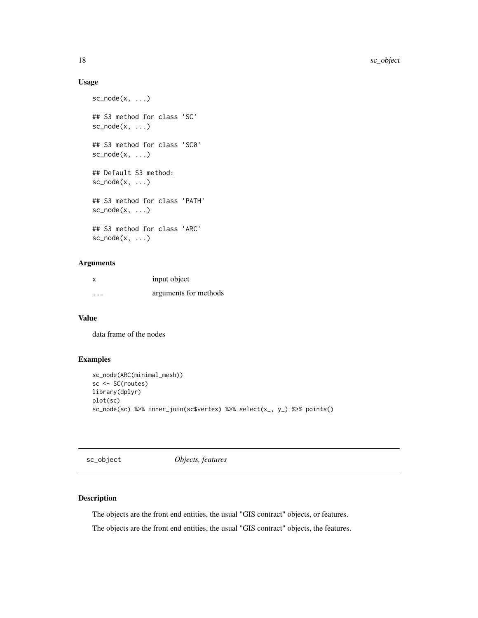#### <span id="page-17-0"></span>Usage

```
sc\_node(x, \ldots)## S3 method for class 'SC'
sc\_node(x, \ldots)## S3 method for class 'SC0'
sc\_node(x, \ldots)## Default S3 method:
sc\_node(x, \ldots)## S3 method for class 'PATH'
sc\_node(x, \ldots)## S3 method for class 'ARC'
sc\_node(x, \ldots)
```
#### Arguments

| x       | input object          |
|---------|-----------------------|
| $\cdot$ | arguments for methods |

### Value

data frame of the nodes

#### Examples

```
sc_node(ARC(minimal_mesh))
sc <- SC(routes)
library(dplyr)
plot(sc)
sc_node(sc) %>% inner_join(sc$vertex) %>% select(x_, y_) %>% points()
```
sc\_object *Objects, features*

#### Description

The objects are the front end entities, the usual "GIS contract" objects, or features.

The objects are the front end entities, the usual "GIS contract" objects, the features.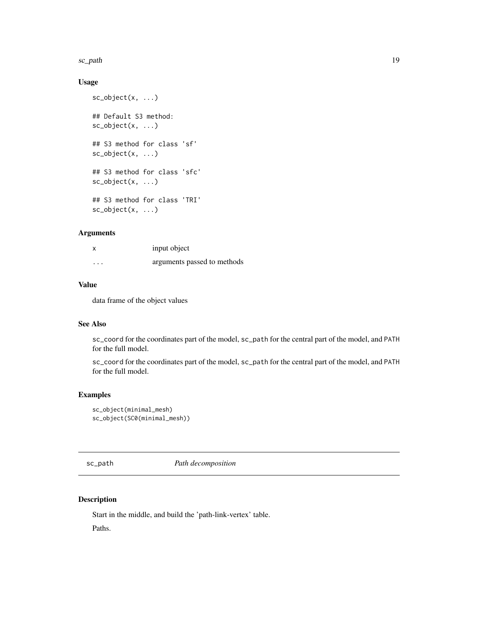<span id="page-18-0"></span>sc\_path 19

#### Usage

```
sc_object(x, ...)
## Default S3 method:
sc_object(x, ...)
## S3 method for class 'sf'
sc_object(x, ...)
## S3 method for class 'sfc'
sc\_object(x, \ldots)## S3 method for class 'TRI'
sc_object(x, ...)
```
#### Arguments

|          | input object                |
|----------|-----------------------------|
| $\cdots$ | arguments passed to methods |

#### Value

data frame of the object values

#### See Also

sc\_coord for the coordinates part of the model, sc\_path for the central part of the model, and PATH for the full model.

sc\_coord for the coordinates part of the model, sc\_path for the central part of the model, and PATH for the full model.

#### Examples

```
sc_object(minimal_mesh)
sc_object(SC0(minimal_mesh))
```
sc\_path *Path decomposition*

#### Description

Start in the middle, and build the 'path-link-vertex' table. Paths.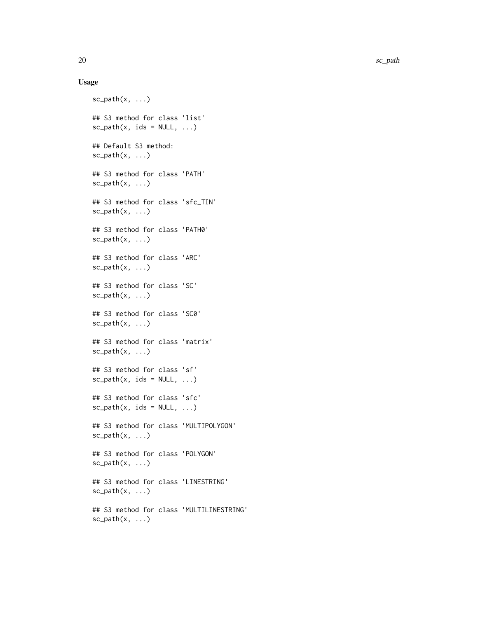#### Usage

```
sc\_path(x, \ldots)## S3 method for class 'list'
sc\_path(x, ids = NULL, ...)## Default S3 method:
sc\_path(x, \ldots)## S3 method for class 'PATH'
sc\_path(x, \ldots)## S3 method for class 'sfc_TIN'
sc\_path(x, \ldots)## S3 method for class 'PATH0'
sc\_path(x, \ldots)## S3 method for class 'ARC'
sc\_path(x, \ldots)## S3 method for class 'SC'
sc\_path(x, \ldots)## S3 method for class 'SC0'
sc\_path(x, \ldots)## S3 method for class 'matrix'
sc\_path(x, \ldots)## S3 method for class 'sf'
sc\_path(x, ids = NULL, ...)## S3 method for class 'sfc'
sc\_path(x, ids = NULL, ...)## S3 method for class 'MULTIPOLYGON'
sc\_path(x, \ldots)## S3 method for class 'POLYGON'
sc\_path(x, \ldots)## S3 method for class 'LINESTRING'
sc\_path(x, \ldots)## S3 method for class 'MULTILINESTRING'
sc\_path(x, \ldots)
```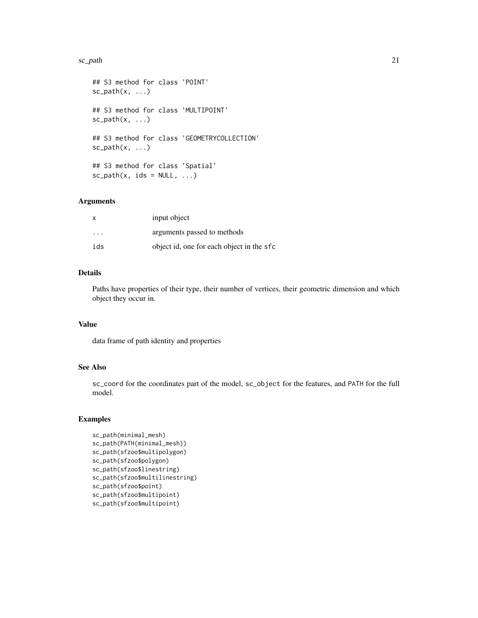#### sc\_path 21

```
## S3 method for class 'POINT'
sc\_path(x, \ldots)## S3 method for class 'MULTIPOINT'
sc\_path(x, \ldots)## S3 method for class 'GEOMETRYCOLLECTION'
sc\_path(x, \ldots)## S3 method for class 'Spatial'
sc\_path(x, ids = NULL, ...)
```
#### Arguments

| x                       | input object                              |
|-------------------------|-------------------------------------------|
| $\cdot$ $\cdot$ $\cdot$ | arguments passed to methods               |
| ids                     | object id, one for each object in the sfc |

#### Details

Paths have properties of their type, their number of vertices, their geometric dimension and which object they occur in.

#### Value

data frame of path identity and properties

#### See Also

sc\_coord for the coordinates part of the model, sc\_object for the features, and PATH for the full model.

```
sc_path(minimal_mesh)
sc_path(PATH(minimal_mesh))
sc_path(sfzoo$multipolygon)
sc_path(sfzoo$polygon)
sc_path(sfzoo$linestring)
sc_path(sfzoo$multilinestring)
sc_path(sfzoo$point)
sc_path(sfzoo$multipoint)
sc_path(sfzoo$multipoint)
```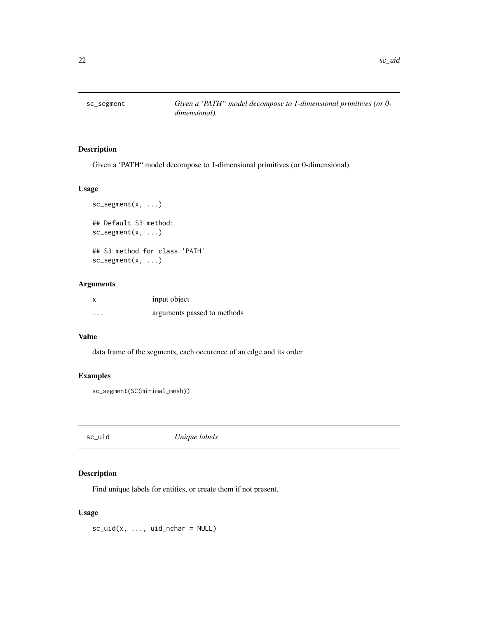<span id="page-21-0"></span>

Given a 'PATH" model decompose to 1-dimensional primitives (or 0-dimensional).

#### Usage

```
sc_segment(x, ...)
## Default S3 method:
sc_segment(x, ...)
## S3 method for class 'PATH'
sc_segment(x, ...)
```
#### Arguments

|          | input object                |
|----------|-----------------------------|
| $\cdots$ | arguments passed to methods |

#### Value

data frame of the segments, each occurence of an edge and its order

#### Examples

```
sc_segment(SC(minimal_mesh))
```
sc\_uid *Unique labels*

#### Description

Find unique labels for entities, or create them if not present.

#### Usage

 $sc\_uid(x, ..., uid_n)$ char = NULL)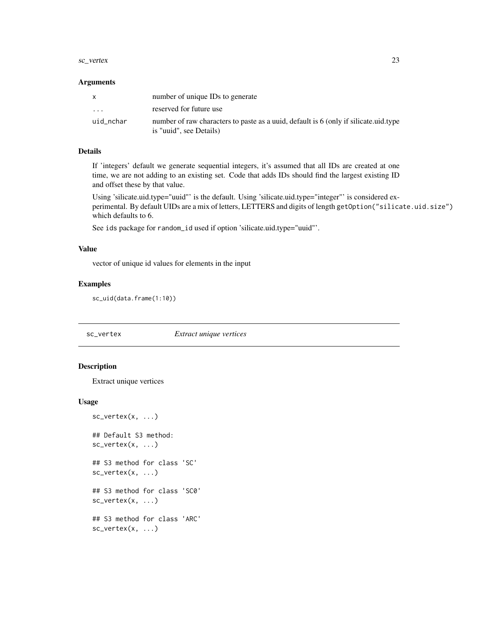#### <span id="page-22-0"></span>sc\_vertex 23

#### **Arguments**

| X         | number of unique IDs to generate                                                                                 |
|-----------|------------------------------------------------------------------------------------------------------------------|
| $\cdot$   | reserved for future use                                                                                          |
| uid_nchar | number of raw characters to paste as a unid, default is 6 (only if silicate unid type<br>is "uuid", see Details) |

#### Details

If 'integers' default we generate sequential integers, it's assumed that all IDs are created at one time, we are not adding to an existing set. Code that adds IDs should find the largest existing ID and offset these by that value.

Using 'silicate.uid.type="uuid"' is the default. Using 'silicate.uid.type="integer"' is considered experimental. By default UIDs are a mix of letters, LETTERS and digits of length getOption("silicate.uid.size") which defaults to 6.

See ids package for random\_id used if option 'silicate.uid.type="uuid"'.

#### Value

vector of unique id values for elements in the input

#### Examples

sc\_uid(data.frame(1:10))

#### sc\_vertex *Extract unique vertices*

#### Description

Extract unique vertices

#### Usage

```
sc\_vertex(x, \ldots)## Default S3 method:
sc\_vertex(x, \ldots)## S3 method for class 'SC'
```
sc\_vertex(x, ...) ## S3 method for class 'SC0'  $sc\_vertex(x, \ldots)$ 

## S3 method for class 'ARC'  $sc\_vertex(x, \ldots)$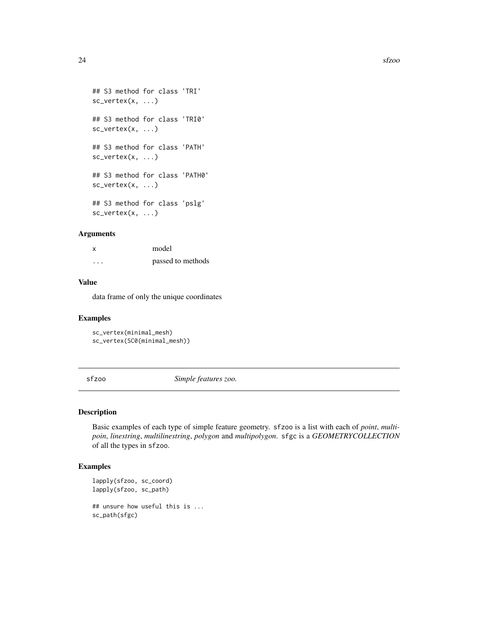```
## S3 method for class 'TRI'
sc\_vertex(x, \ldots)## S3 method for class 'TRI0'
sc_vertex(x, ...)
## S3 method for class 'PATH'
sc\_vertex(x, \ldots)## S3 method for class 'PATH0'
sc\_vertex(x, \ldots)## S3 method for class 'pslg'
sc_vertex(x, ...)
```
#### Arguments

| x | model             |
|---|-------------------|
| . | passed to methods |

#### Value

data frame of only the unique coordinates

#### Examples

```
sc_vertex(minimal_mesh)
sc_vertex(SC0(minimal_mesh))
```
sfzoo *Simple features zoo.*

#### Description

Basic examples of each type of simple feature geometry. sfzoo is a list with each of *point*, *multipoin*, *linestring*, *multilinestring*, *polygon* and *multipolygon*. sfgc is a *GEOMETRYCOLLECTION* of all the types in sfzoo.

```
lapply(sfzoo, sc_coord)
lapply(sfzoo, sc_path)
## unsure how useful this is ...
sc_path(sfgc)
```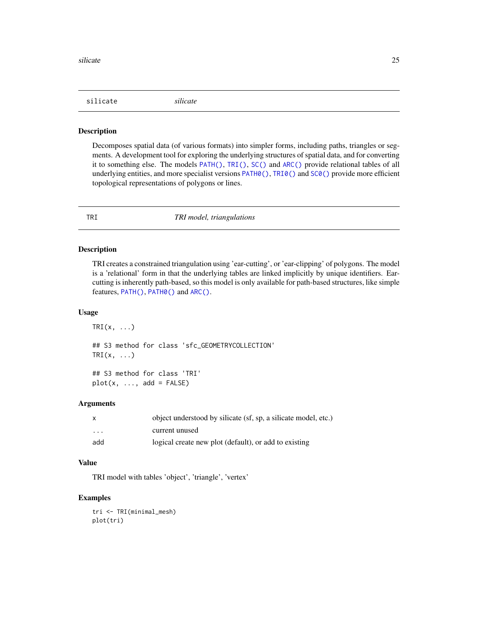<span id="page-24-0"></span>silicate *silicate*

#### Description

Decomposes spatial data (of various formats) into simpler forms, including paths, triangles or segments. A development tool for exploring the underlying structures of spatial data, and for converting it to something else. The models [PATH\(\)](#page-6-1), [TRI\(\)](#page-24-1), [SC\(\)](#page-10-1) and [ARC\(\)](#page-2-1) provide relational tables of all underlying entities, and more specialist versions [PATH0\(\)](#page-7-1), [TRI0\(\)](#page-25-1) and [SC0\(\)](#page-11-1) provide more efficient topological representations of polygons or lines.

<span id="page-24-1"></span>

#### TRI *TRI model, triangulations*

#### Description

TRI creates a constrained triangulation using 'ear-cutting', or 'ear-clipping' of polygons. The model is a 'relational' form in that the underlying tables are linked implicitly by unique identifiers. Earcutting is inherently path-based, so this model is only available for path-based structures, like simple features, [PATH\(\)](#page-6-1), [PATH0\(\)](#page-7-1) and [ARC\(\)](#page-2-1).

#### Usage

 $TRI(x, \ldots)$ ## S3 method for class 'sfc\_GEOMETRYCOLLECTION'  $TRI(x, \ldots)$ 

## S3 method for class 'TRI'  $plot(x, ..., add = FALSE)$ 

#### Arguments

|                         | object understood by silicate (sf, sp, a silicate model, etc.) |
|-------------------------|----------------------------------------------------------------|
| $\cdot$ $\cdot$ $\cdot$ | current unused                                                 |
| add                     | logical create new plot (default), or add to existing          |

#### Value

TRI model with tables 'object', 'triangle', 'vertex'

#### Examples

tri <- TRI(minimal\_mesh) plot(tri)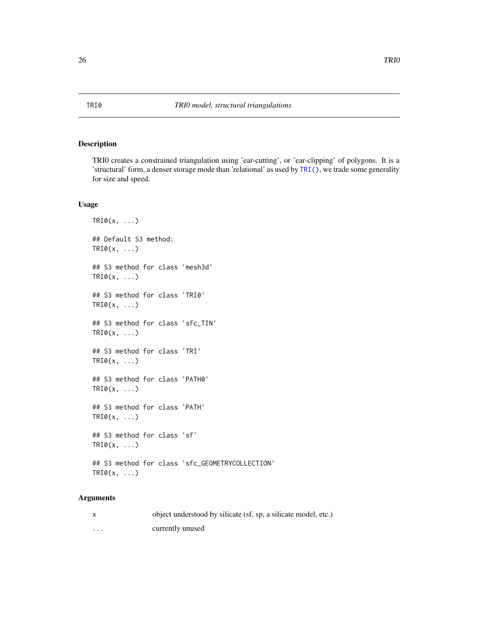<span id="page-25-1"></span><span id="page-25-0"></span>TRI0 creates a constrained triangulation using 'ear-cutting', or 'ear-clipping' of polygons. It is a 'structural' form, a denser storage mode than 'relational' as used by [TRI\(\)](#page-24-1), we trade some generality for size and speed.

#### Usage

```
TRI@(x, \ldots)## Default S3 method:
TRI@(x, \ldots)## S3 method for class 'mesh3d'
TRI@(x, \ldots)## S3 method for class 'TRI0'
TRI@(x, \ldots)## S3 method for class 'sfc_TIN'
TRI@(x, \ldots)## S3 method for class 'TRI'
TRI@(x, \ldots)## S3 method for class 'PATH0'
TRI@(x, \ldots)## S3 method for class 'PATH'
TRI@(x, \ldots)## S3 method for class 'sf'
TRI@(x, \ldots)## S3 method for class 'sfc_GEOMETRYCOLLECTION'
TRI@(x, \ldots)
```
#### Arguments

|   | object understood by silicate (sf, sp, a silicate model, etc.) |
|---|----------------------------------------------------------------|
| . | currently unused                                               |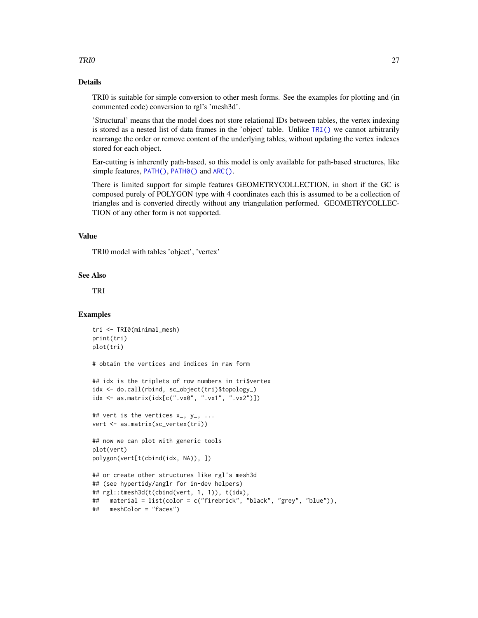#### <span id="page-26-0"></span> $TRIO$  27

#### Details

TRI0 is suitable for simple conversion to other mesh forms. See the examples for plotting and (in commented code) conversion to rgl's 'mesh3d'.

'Structural' means that the model does not store relational IDs between tables, the vertex indexing is stored as a nested list of data frames in the 'object' table. Unlike [TRI\(\)](#page-24-1) we cannot arbitrarily rearrange the order or remove content of the underlying tables, without updating the vertex indexes stored for each object.

Ear-cutting is inherently path-based, so this model is only available for path-based structures, like simple features, [PATH\(\)](#page-6-1), [PATH0\(\)](#page-7-1) and [ARC\(\)](#page-2-1).

There is limited support for simple features GEOMETRYCOLLECTION, in short if the GC is composed purely of POLYGON type with 4 coordinates each this is assumed to be a collection of triangles and is converted directly without any triangulation performed. GEOMETRYCOLLEC-TION of any other form is not supported.

#### Value

TRI0 model with tables 'object', 'vertex'

#### See Also

TRI

```
tri <- TRI0(minimal_mesh)
print(tri)
plot(tri)
# obtain the vertices and indices in raw form
## idx is the triplets of row numbers in tri$vertex
idx <- do.call(rbind, sc_object(tri)$topology_)
idx <- as.matrix(idx[c(".vx0", ".vx1", ".vx2")])
## vert is the vertices x_-, y_-, ...vert <- as.matrix(sc_vertex(tri))
## now we can plot with generic tools
plot(vert)
polygon(vert[t(cbind(idx, NA)), ])
## or create other structures like rgl's mesh3d
## (see hypertidy/anglr for in-dev helpers)
## rgl::tmesh3d(t(cbind(vert, 1, 1)), t(idx),
## material = list(color = c("firebrick", "black", "grey", "blue")),
## meshColor = "faces")
```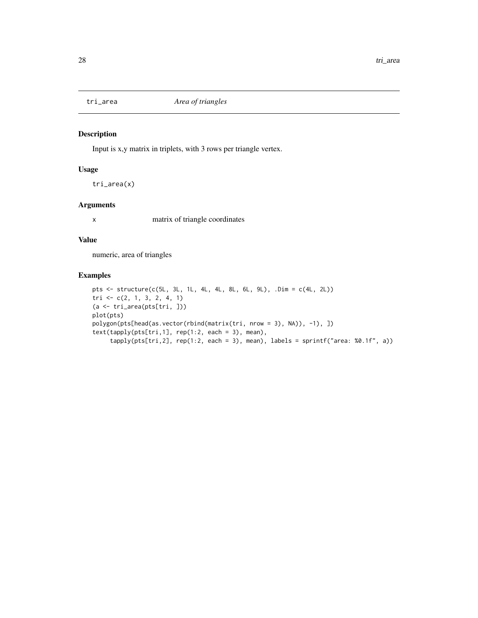<span id="page-27-0"></span>

Input is x,y matrix in triplets, with 3 rows per triangle vertex.

#### Usage

tri\_area(x)

#### Arguments

x matrix of triangle coordinates

#### Value

numeric, area of triangles

```
pts <- structure(c(5L, 3L, 1L, 4L, 4L, 8L, 6L, 9L), .Dim = c(4L, 2L))
tri <- c(2, 1, 3, 2, 4, 1)
(a <- tri_area(pts[tri, ]))
plot(pts)
polygon(pts[head(as.vector(rbind(matrix(tri, nrow = 3), NA)), -1), ])
text(tapply(pts[tri,1], rep(1:2, each = 3), mean),
     tapply(pts[tri,2], rep(1:2, each = 3), mean), labels = sprintf("area: %0.1f", a))
```